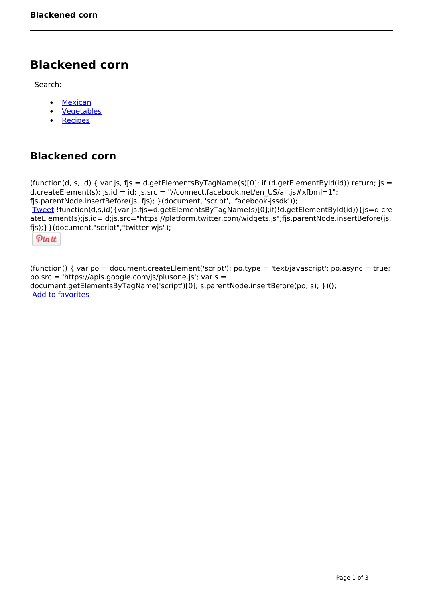# **Blackened corn**

Search:

- [Mexican](https://www.naturalhealthmag.com.au/nourish/mexican)  $\bullet$
- [Vegetables](https://www.naturalhealthmag.com.au/nourish/veg)  $\bullet$
- $\bullet$ **[Recipes](https://www.naturalhealthmag.com.au/nourish/recipes)**

## **Blackened corn**

```
(function(d, s, id) { var js, fjs = d.getElementsByTagName(s)[0]; if (d.getElementById(id)) return; js =
d.createElement(s); js.id = id; js.src = "//connect.facebook.net/en_US/all.js#xfbml=1";
fjs.parentNode.insertBefore(js, fjs); }(document, 'script', 'facebook-jssdk')); 
Tweet !function(d,s,id){var js,fjs=d.getElementsByTagName(s)[0];if(!d.getElementById(id)){js=d.cre
ateElement(s);js.id=id;js.src="https://platform.twitter.com/widgets.js";fjs.parentNode.insertBefore(js,
fjs);}}(document,"script","twitter-wjs"); 
 Pin it
```
(function() { var po = document.createElement('script'); po.type = 'text/javascript'; po.async = true; po.src = 'https://apis.google.com/js/plusone.js'; var s = document.getElementsByTagName('script')[0]; s.parentNode.insertBefore(po, s); })(); Add to favorites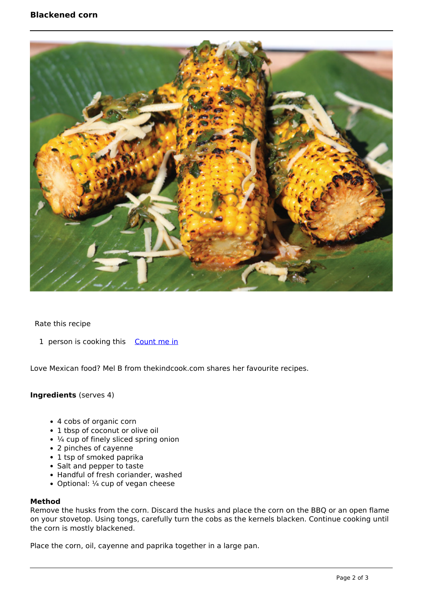### **Blackened corn**



Rate this recipe

1 person is cooking this [Count me in](https://www.naturalhealthmag.com.au/flag/flag/favorites/943?destination=printpdf%2F943&token=61d8264a3b989a405d0156092d3d9637)

Love Mexican food? Mel B from thekindcook.com shares her favourite recipes.

#### **Ingredients** (serves 4)

- 4 cobs of organic corn
- 1 tbsp of coconut or olive oil
- $\cdot$   $\frac{1}{4}$  cup of finely sliced spring onion
- 2 pinches of cayenne
- 1 tsp of smoked paprika
- Salt and pepper to taste
- Handful of fresh coriander, washed
- Optional:  $\frac{1}{4}$  cup of vegan cheese

#### **Method**

Remove the husks from the corn. Discard the husks and place the corn on the BBQ or an open flame on your stovetop. Using tongs, carefully turn the cobs as the kernels blacken. Continue cooking until the corn is mostly blackened.

Place the corn, oil, cayenne and paprika together in a large pan.